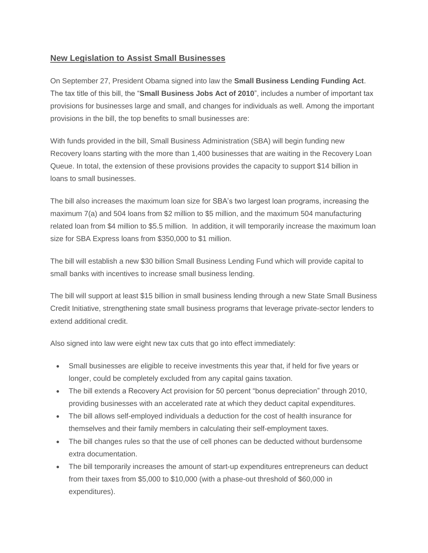## **New Legislation to Assist Small Businesses**

On September 27, President Obama signed into law the **Small Business Lending Funding Act**. The tax title of this bill, the "**Small Business Jobs Act of 2010**", includes a number of important tax provisions for businesses large and small, and changes for individuals as well. Among the important provisions in the bill, the top benefits to small businesses are:

With funds provided in the bill, Small Business Administration (SBA) will begin funding new Recovery loans starting with the more than 1,400 businesses that are waiting in the Recovery Loan Queue. In total, the extension of these provisions provides the capacity to support \$14 billion in loans to small businesses.

The bill also increases the maximum loan size for SBA's two largest loan programs, increasing the maximum 7(a) and 504 loans from \$2 million to \$5 million, and the maximum 504 manufacturing related loan from \$4 million to \$5.5 million. In addition, it will temporarily increase the maximum loan size for SBA Express loans from \$350,000 to \$1 million.

The bill will establish a new \$30 billion Small Business Lending Fund which will provide capital to small banks with incentives to increase small business lending.

The bill will support at least \$15 billion in small business lending through a new State Small Business Credit Initiative, strengthening state small business programs that leverage private-sector lenders to extend additional credit.

Also signed into law were eight new tax cuts that go into effect immediately:

- Small businesses are eligible to receive investments this year that, if held for five years or longer, could be completely excluded from any capital gains taxation.
- The bill extends a Recovery Act provision for 50 percent "bonus depreciation" through 2010, providing businesses with an accelerated rate at which they deduct capital expenditures.
- The bill allows self-employed individuals a deduction for the cost of health insurance for themselves and their family members in calculating their self-employment taxes.
- The bill changes rules so that the use of cell phones can be deducted without burdensome extra documentation.
- The bill temporarily increases the amount of start-up expenditures entrepreneurs can deduct from their taxes from \$5,000 to \$10,000 (with a phase-out threshold of \$60,000 in expenditures).